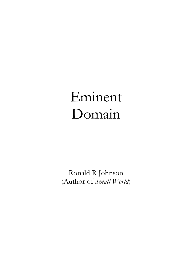# Eminent Domain

Ronald R Johnson (Author of *Small World*)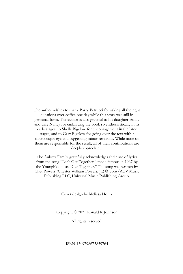The author wishes to thank Barry Petrucci for asking all the right questions over coffee one day while this story was still in germinal form. The author is also grateful to his daughter Emily and wife Nancy for embracing the book so enthusiastically in its early stages, to Sheila Bigelow for encouragement in the later stages, and to Gary Bigelow for going over the text with a microscopic eye and suggesting minor revisions. While none of them are responsible for the result, all of their contributions are deeply appreciated.

The Aubrey Family gratefully acknowledges their use of lyrics from the song "Let's Get Together," made famous in 1967 by the Youngbloods as "Get Together." The song was written by Chet Powers (Chester William Powers, Jr.) © Sony/ATV Music Publishing LLC, Universal Music Publishing Group.

Cover design by Melissa Houtz

Copyright © 2021 Ronald R Johnson

All rights reserved.

ISBN-13: 9798675859764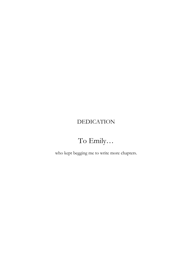# DEDICATION

# To Emily…

who kept begging me to write more chapters.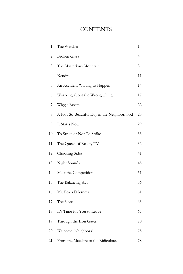# **CONTENTS**

| 1  | The Watcher                                | 1              |
|----|--------------------------------------------|----------------|
| 2  | <b>Broken Glass</b>                        | $\overline{4}$ |
| 3  | The Mysterious Mountain                    | 8              |
| 4  | Kendra                                     | 11             |
| 5  | An Accident Waiting to Happen              | 14             |
| 6  | Worrying about the Wrong Thing             | 17             |
| 7  | Wiggle Room                                | 22             |
| 8  | A Not-So-Beautiful Day in the Neighborhood | 25             |
| 9  | It Starts Now                              | 29             |
| 10 | To Strike or Not To Strike                 | 33             |
| 11 | The Queen of Reality TV                    | 36             |
| 12 | Choosing Sides                             | 41             |
| 13 | Night Sounds                               | 45             |
| 14 | Meet the Competition                       | 51             |
| 15 | The Balancing Act                          | 56             |
| 16 | Mr. Fox's Dilemma                          | 61             |
| 17 | The Vote                                   | 63             |
| 18 | It's Time for You to Leave                 | 67             |
| 19 | Through the Iron Gates                     | 70             |
| 20 | Welcome, Neighbors!                        | 75             |
| 21 | From the Macabre to the Ridiculous         | 78             |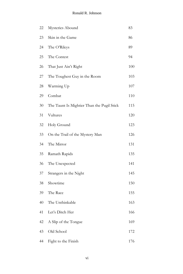| 22 | Mysteries Abound                           | 83  |
|----|--------------------------------------------|-----|
| 23 | Skin in the Game                           | 86  |
| 24 | The O'Rileys                               | 89  |
| 25 | The Contest                                | 94  |
| 26 | That Just Ain't Right                      | 100 |
| 27 | The Toughest Guy in the Room               | 103 |
| 28 | Warming Up                                 | 107 |
| 29 | Combat                                     | 110 |
| 30 | The Taunt Is Mightier Than the Pugil Stick | 115 |
| 31 | Vultures                                   | 120 |
| 32 | Holy Ground                                | 123 |
| 33 | On the Trail of the Mystery Man            | 126 |
| 34 | The Mirror                                 | 131 |
| 35 | Ramath Rapids                              | 135 |
| 36 | The Unexpected                             | 141 |
| 37 | Strangers in the Night                     | 145 |
| 38 | Showtime                                   | 150 |
| 39 | The Race                                   | 155 |
| 40 | The Unthinkable                            | 163 |
| 41 | Let's Ditch Her                            | 166 |
| 42 | A Slip of the Tongue                       | 169 |
| 43 | Old School                                 | 172 |
| 44 | Fight to the Finish                        | 176 |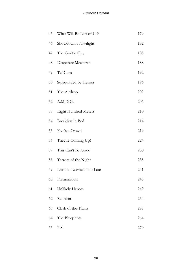| 45 | What Will Be Left of Us?    | 179 |
|----|-----------------------------|-----|
| 46 | Showdown at Twilight        | 182 |
| 47 | The Go-To Guy               | 185 |
| 48 | <b>Desperate Measures</b>   | 188 |
| 49 | Tel-Com                     | 192 |
| 50 | Surrounded by Heroes        | 196 |
| 51 | The Airdrop                 | 202 |
| 52 | A.M.D.G.                    | 206 |
| 53 | <b>Eight Hundred Meters</b> | 210 |
| 54 | Breakfast in Bed            | 214 |
| 55 | Five's a Crowd              | 219 |
| 56 | They're Coming Up!          | 224 |
| 57 | This Can't Be Good          | 230 |
| 58 | Terrors of the Night        | 235 |
| 59 | Lessons Learned Too Late    | 241 |
| 60 | Premonition                 | 245 |
| 61 | Unlikely Heroes             | 249 |
| 62 | Reunion                     | 254 |
| 63 | Clash of the Titans         | 257 |
| 64 | The Blueprints              | 264 |
| 65 | P.S.                        | 270 |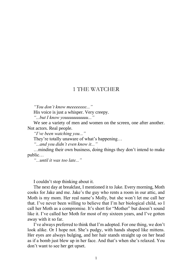#### 1 THE WATCHER

*"You don't know meeeeeeee..."*

His voice is just a whisper. Very creepy.

*"...but I know youuuuuuuuuu..."*

We see a variety of men and women on the screen, one after another. Not actors. Real people.

*"I've been watching you..."*

They're totally unaware of what's happening…

*"...and you didn't even know it..."*

…minding their own business, doing things they don't intend to make public…

*"...until it was too late..."*

I couldn't stop thinking about it.

The next day at breakfast, I mentioned it to Jake. Every morning, Moth cooks for Jake and me. Jake's the guy who rents a room in our attic, and Moth is my mom. Her real name's Molly, but she won't let me call her that. I've never been willing to believe that I'm her biological child, so I call her Moth as a compromise. It's short for "Mother" but doesn't sound like it. I've called her Moth for most of my sixteen years, and I've gotten away with it so far.

I've always preferred to think that I'm adopted. For one thing, we don't look alike. Or I hope not. She's pudgy, with hands shaped like mittens. Her eyes are always bulging, and her hair stands straight up on her head as if a bomb just blew up in her face. And that's when she's relaxed. You don't want to see her get upset.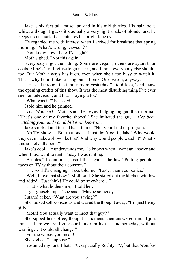Jake is six feet tall, muscular, and in his mid-thirties. His hair looks white, although I guess it's actually a very light shade of blonde, and he keeps it cut short. It accentuates his bright blue eyes.

He regarded me with interest when I arrived for breakfast that spring morning. "What's wrong, Dawson?"

"You know how I hate TV, right?"

Moth sighed. "Not this again."

Everybody's got their thing. Some are vegans, others are against fur coats. Mine's TV. I refuse to go near it, and I think everybody else should, too. But Moth always has it on, even when she's too busy to watch it. That's why I don't like to hang out at home. One reason, anyway.

"I passed through the family room yesterday," I told Jake, "and I saw the opening credits of this show. It was the most disturbing thing I've ever seen on television, and that's saying a lot."

"What was it?" he asked.

I told him and he grinned.

"*The Watcher!*" Moth said, her eyes bulging bigger than normal. "That's one of my favorite shows!" She imitated the guy: *"I've been watching you...and you didn't even know it..."*

Jake smirked and turned back to me. "Not your kind of program."

"*No* TV show is. But that one… I just don't get it, Jake! Why would they even make a show like that? And why would people watch it? What's this society all about?"

Jake's cool. He understands me. He knows when I want an answer and when I just want to rant. Today I was ranting.

"Besides," I continued, "isn't that against the law? Putting people's faces on TV without their consent?"

"The world's changing," Jake told me. "Faster than you realize."

"Well, I love that show," Moth said. She stared out the kitchen window and added, "Just think! He could be anywhere…"

"That's what bothers me," I told her.

"I get goosebumps," she said. "Maybe someday…"

I stared at her. "What are you saying?"

She looked self-conscious and waved the thought away. "I'm just being silly."

"Moth! You actually want to meet that guy?"

She sipped her coffee, thought a moment, then answered me. "I just think… here we are, living our humdrum lives… and someday, without warning… it could all change."

"For the worse, you mean!"

She sighed. "I suppose."

I resumed my rant. I hate TV, especially Reality TV, but that *Watcher*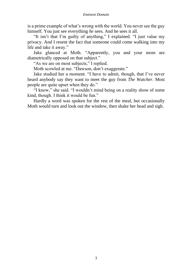is a prime example of what's wrong with the world. You never see the guy himself. You just see everything *he* sees. And he sees it all.

"It isn't that I'm guilty of anything," I explained. "I just value my privacy. And I resent the fact that someone could come walking into my life and take it away."

Jake glanced at Moth. "Apparently, you and your mom are diametrically opposed on that subject."

"As we are on most subjects," I replied.

Moth scowled at me. "Dawson, don't exaggerate."

Jake studied her a moment. "I have to admit, though, that I've never heard anybody say they want to meet the guy from *The Watcher.* Most people are quite upset when they do."

"I know," she said. "I wouldn't mind being on a reality show of some kind, though. I think it would be fun."

Hardly a word was spoken for the rest of the meal, but occasionally Moth would turn and look out the window, then shake her head and sigh.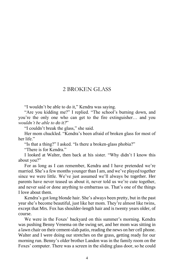#### 2 BROKEN GLASS

"I wouldn't be able to do it," Kendra was saying.

"Are you kidding me?" I replied. "The school's burning down, and you're the only one who can get to the fire extinguisher… and you *wouldn't be able to do it?*"

"I couldn't break the glass," she said.

Her mom chuckled. "Kendra's been afraid of broken glass for most of her life."

"Is that a thing?" I asked. "Is there a broken-glass phobia?"

"There is for Kendra."

I looked at Walter, then back at his sister. "Why didn't I know this about you?"

For as long as I can remember, Kendra and I have pretended we're married. She's a few months younger than I am, and we've played together since we were little. We've just assumed we'll always be together. Her parents have never teased us about it, never told us we're cute together, and never said or done anything to embarrass us. That's one of the things I love about them.

Kendra's got long blonde hair. She's always been pretty, but in the past year she's become beautiful, just like her mom. They're almost like twins, except that Mrs. Fox has shoulder-length hair and is twenty years older, of course.

We were in the Foxes' backyard on this summer's morning. Kendra was pushing Benny Venema on the swing set, and her mom was sitting in a lawn chair on their cement-slab patio, reading the news on her cell phone. Walter and I were doing our stretches on the grass, getting ready for our morning run. Benny's older brother Landon was in the family room on the Foxes' computer. There was a screen in the sliding glass door, so he could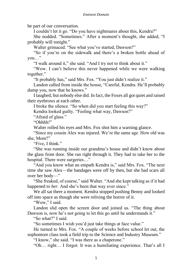#### *Eminent Domain*

be part of our conversation.

I couldn't let it go. "Do you have nightmares about this, Kendra?"

She nodded. "Sometimes." After a moment's thought, she added, "I probably will tonight."

Walter grimaced. "See what you've started, Dawson?"

"So if you're on the sidewalk and there's a broken bottle ahead of you…"

"I walk around it," she said. "And I try not to think about it."

"Wow. I can't believe this never happened while we were walking together."

"It probably has," said Mrs. Fox. "You just didn't realize it."

Landon called from inside the house, "Careful, Kendra. He'll probably dump you, now that he knows."

I laughed, but nobody else did. In fact, the Foxes all got quiet and raised their eyebrows at each other.

I broke the silence. "So when did you start feeling this way?"

Kendra looked guilty. "Feeling what way, Dawson?"

"Afraid of glass."

"Ohhhh!"

Walter rolled his eyes and Mrs. Fox shot him a warning glance.

"Since my cousin Alex was injured. We're the same age. How old was she, Mom?"

"Five, I think."

"She was running inside our grandma's house and didn't know about the glass front door. She ran right through it. They had to take her to the hospital. There were surgeries…"

"And you know what an empath Kendra is," said Mrs. Fox. "The next time she saw Alex—the bandages were off by then, but she had scars all over her body—"

"She freaked, of course," said Walter. "And she kept talking as if it had happened to *her*. And she's been that way ever since."

We all sat there a moment. Kendra stopped pushing Benny and looked off into space as though she were reliving the horror of it.

"Wow," I said.

Landon slid open the screen door and joined us. "The thing about Dawson is, now he's not going to let this go until he understands it."

"So what?" I said.

"So sometimes I wish you'd just take things at face value."

He turned to Mrs. Fox. "A couple of weeks before school let out, the sophomore class took a field trip to the Science and Industry Museum."

"I know," she said. "I was there as a chaperone."

"Oh… right… I forgot. It was a humiliating experience. That's all I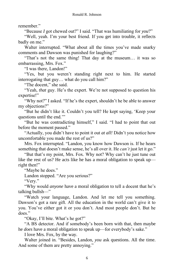remember."

"Because *I* got chewed out?" I said. "That was humiliating for *you*?"

"Well, yeah. I'm your best friend. If you get into trouble, it reflects badly on me."

Walter interrupted. "What about all the times you've made snarky comments and Dawson was punished for laughing?"

"That's not the same thing! That day at the museum… it was so embarrassing, Mrs. Fox."

"I was there, Landon!"

"Yes, but you weren't standing right next to him. He started interrogating that guy… what do you call him?"

"The docent," she said.

"Yeah, *that* guy. He's the expert. We're not supposed to question his expertise!"

"Why not?" I asked. "If he's the expert, shouldn't he be able to answer my objections?"

"But he didn't like it. Couldn't you tell? He kept saying, 'Keep your questions until the end.'"

"But he was contradicting himself," I said. "I had to point that out before the moment passed."

"Actually, you didn't have to point it out *at all!* Didn't you notice how uncomfortable you made the rest of us?"

Mrs. Fox interrupted. "Landon, you know how Dawson is. If he hears something that doesn't make sense, he's all over it. He *can't* just let it go."

"But that's my point, Mrs. Fox. Why not? Why can't he just tune out like the rest of us? He acts like he has a moral obligation to speak up right then!"

"Maybe he does."

Landon stopped. "Are you serious?"

"Very."

"Why would *anyone* have a moral obligation to tell a docent that he's talking bullsh—"

"Watch your language, Landon. And let me tell you something. Dawson's got a rare gift. All the education in the world can't give it to you. You've either got it or you don't. And most people don't. But he does."

"Okay, I'll bite. What's he got?"

"A BS detector. And if somebody's been born with that, then maybe he *does* have a moral obligation to speak up—for everybody's sake."

I love Mrs. Fox, by the way.

Walter joined in. "Besides, Landon, *you* ask questions. All the time. And some of them are pretty annoying."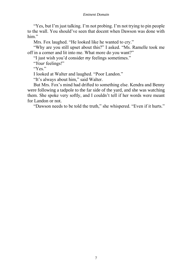#### *Eminent Domain*

"Yes, but I'm just talking. I'm not probing. I'm not trying to pin people to the wall. You should've seen that docent when Dawson was done with him."

Mrs. Fox laughed. "He looked like he wanted to cry."

"Why are you still upset about this?" I asked. "Ms. Ramelle took me off in a corner and lit into me. What more do you want?"

"I just wish you'd consider *my* feelings sometimes."

"*Your* feelings!"

"Yes."

I looked at Walter and laughed. "Poor Landon."

"It's always about him," said Walter.

But Mrs. Fox's mind had drifted to something else. Kendra and Benny were following a tadpole to the far side of the yard, and she was watching them. She spoke very softly, and I couldn't tell if her words were meant for Landon or not.

"Dawson needs to be told the truth," she whispered. "Even if it hurts."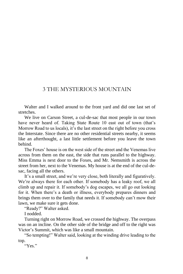#### 3 THE MYSTERIOUS MOUNTAIN

Walter and I walked around to the front yard and did one last set of stretches.

We live on Carson Street, a cul-de-sac that most people in our town have never heard of. Taking State Route 10 east out of town (that's Morrow Road to us locals), it's the last street on the right before you cross the Interstate. Since there are no other residential streets nearby, it seems like an afterthought, a last little settlement before you leave the town behind.

The Foxes' house is on the west side of the street and the Venemas live across from them on the east, the side that runs parallel to the highway. Miss Emma is next door to the Foxes, and Mr. Nemsmith is across the street from her, next to the Venemas. My house is at the end of the cul-desac, facing all the others.

It's a small street, and we're very close, both literally and figuratively. We're always there for each other. If somebody has a leaky roof, we all climb up and repair it. If somebody's dog escapes, we all go out looking for it. When there's a death or illness, everybody prepares dinners and brings them over to the family that needs it. If somebody can't mow their lawn, we make sure it gets done.

"Ready?" Walter asked.

I nodded.

Turning right on Morrow Road, we crossed the highway. The overpass was on an incline. On the other side of the bridge and off to the right was Victor's Summit, which was like a small mountain.

"So tempting!" Walter said, looking at the winding drive leading to the top.

"Yes."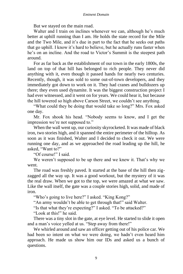But we stayed on the main road.

Walter and I train on inclines whenever we can, although he's much better at uphill running than I am. He holds the state record for the Mile and the Two Mile, and it's due in part to the fact that he seeks out paths that go uphill. I know it's hard to believe, but he actually runs faster when he's on an incline. And the road to Victor's Summit is the steepest path around.

For as far back as the establishment of our town in the early 1800s, the land on top of that hill has belonged to rich people. They never did anything with it, even though it passed hands for nearly two centuries. Recently, though, it was sold to some out-of-town developers, and they immediately got down to work on it. They had cranes and bulldozers up there; they even used dynamite. It was the biggest construction project I had ever witnessed, and it went on for years. We could hear it, but because the hill towered so high above Carson Street, we couldn't see anything.

"What could they be doing that would take so long?" Mrs. Fox asked one day.

Mr. Fox shook his head. "Nobody seems to know, and I get the impression we're not supposed to."

When the wall went up, our curiosity skyrocketed. It was made of black iron, two stories high, and it spanned the entire perimeter of the hilltop. As soon as it was finished, Walter and I decided to check it out. We were running one day, and as we approached the road leading up the hill, he asked, "Want to?"

"Of course!" I said.

We weren't supposed to be up there and we knew it. That's why we went.

The road was freshly paved. It started at the base of the hill then zigzagged all the way up. It was a good workout, but the mystery of it was the real draw. When we got to the top, we were amazed at what we saw. Like the wall itself, the gate was a couple stories high, solid, and made of iron.

"Who's going to live here?" I asked. "King Kong?"

"An army wouldn't be able to get through that!" said Walter.

"Is that what they're expecting?" I asked. "To be attacked?"

"Look at this!" he said.

There was a tiny slot in the gate, at eye level. He started to slide it open and a man's voice yelled at us. "Step away from there!"

We whirled around and saw an officer getting out of his police car. We had been so intent on what we were doing, we hadn't even heard him approach. He made us show him our IDs and asked us a bunch of questions.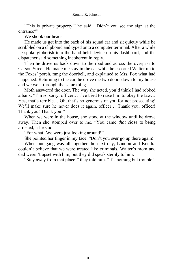"This is private property," he said. "Didn't you see the sign at the entrance?"

We shook our heads.

He made us get into the back of his squad car and sit quietly while he scribbled on a clipboard and typed onto a computer terminal. After a while he spoke gibberish into the hand-held device on his dashboard, and the dispatcher said something incoherent in reply.

Then he drove us back down to the road and across the overpass to Carson Street. He made me stay in the car while he escorted Walter up to the Foxes' porch, rang the doorbell, and explained to Mrs. Fox what had happened. Returning to the car, he drove me two doors down to my house and we went through the same thing.

Moth answered the door. The way she acted, you'd think I had robbed a bank. "I'm so sorry, officer… I've tried to raise him to obey the law… Yes, that's terrible… Oh, that's so generous of you for not prosecuting! We'll make sure he never does it again, officer… Thank you, officer! Thank you! Thank you!"

When we were in the house, she stood at the window until he drove away. Then she stomped over to me. "You came *that close* to being arrested," she said.

"For what! We were just looking around!"

She pointed her finger in my face. "Don't you *ever* go up there again!" When our gang was all together the next day, Landon and Kendra couldn't believe that we were treated like criminals. Walter's mom and

dad weren't upset with him, but they did speak sternly to him.

"Stay away from that place!" they told him. "It's nothing but trouble."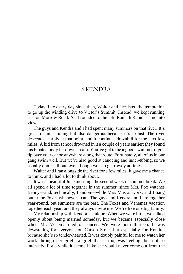#### 4 KENDRA

Today, like every day since then, Walter and I resisted the temptation to go up the winding drive to Victor's Summit. Instead, we kept running east on Morrow Road. As it rounded to the left, Ramath Rapids came into view.

The guys and Kendra and I had spent many summers on that river. It's great for inner-tubing but also dangerous because it's so fast. The river descends sharply at that point, and it continues downhill for the next few miles. A kid from school drowned in it a couple of years earlier; they found his bloated body far downstream. You've got to be a good swimmer if you tip over your canoe anywhere along that route. Fortunately, all of us in our gang swim well. But we're also good at canoeing and inner-tubing, so we usually don't fall out, even though we can get rowdy at times.

Walter and I ran alongside the river for a few miles. It gave me a chance to think, and I had a lot to think about.

It was a beautiful June morning, the second week of summer break. We all spend a lot of time together in the summer, since Mrs. Fox watches Benny—and, technically, Landon—while Mrs. V is at work, and I hang out at the Foxes whenever I can. The guys and Kendra and I are together year-round, but summers are the best. The Foxes and Venemas vacation together each year, and they always invite me. We're like one big family.

My relationship with Kendra is unique. When we were little, we talked openly about being married someday, but we became especially close when Mr. Venema died of cancer. We were both thirteen. It was devastating for everyone on Carson Street but especially for Kendra, because she's so tender-hearted. It was doubly painful for me to watch her work through her grief—a grief that I, too, was feeling, but not so intensely. For a while it seemed like she would never come out from the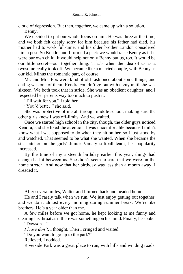cloud of depression. But then, together, we came up with a solution.

Benny.

We decided to put our whole focus on him. He was three at the time, and we both felt deeply sorry for him because his father had died, his mother had to work full-time, and his older brother Landon considered him a pest. So Kendra and I formed a pact: we would raise Benny as if he were our own child. It would help not only Benny but us, too. It would be our little secret—our together thing. That's when the idea of us as a twosome really took off. We became like a married couple, with Benny as our kid. Minus the romantic part, of course.

Mr. and Mrs. Fox were kind of old-fashioned about some things, and dating was one of them. Kendra couldn't go out with a guy until she was sixteen. We both took that in stride. She was an obedient daughter, and I respected her parents way too much to push it.

"I'll wait for you," I told her.

"You'd better!" she said.

She was protective of me all through middle school, making sure the other girls knew I was off-limits. And we waited.

Once we started high school in the city, though, the older guys noticed Kendra, and she liked the attention. I was uncomfortable because I didn't know what I was supposed to do when they hit on her, so I just stood by and watched. That seemed to be what she wanted. When she became the star pitcher on the girls' Junior Varsity softball team, her popularity increased.

By the time of my sixteenth birthday earlier this year, things had changed a lot between us. She didn't seem to care that we were on the home stretch. And now that her birthday was less than a month away, I dreaded it.

After several miles, Walter and I turned back and headed home.

He and I rarely talk when we run. We just enjoy getting out together, and we do it almost every morning during summer break. We're like brothers. He's a year older than me.

A few miles before we got home, he kept looking at me funny and clearing his throat as if there was something on his mind. Finally, he spoke.

"Dawson…"

*Please don't*, I thought. Then I cringed and waited.

"Do you want to go up to the park?"

Relieved, I nodded.

Riverside Park was a great place to run, with hills and winding roads.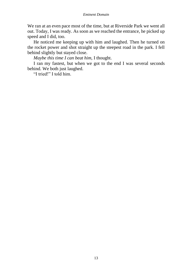We ran at an even pace most of the time, but at Riverside Park we went all out. Today, I was ready. As soon as we reached the entrance, he picked up speed and I did, too.

He noticed me keeping up with him and laughed. Then he turned on the rocket power and shot straight up the steepest road in the park. I fell behind slightly but stayed close.

*Maybe this time I can beat him,* I thought.

I ran my fastest, but when we got to the end I was several seconds behind. We both just laughed.

"I tried!" I told him.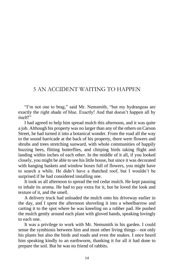#### 5 AN ACCIDENT WAITING TO HAPPEN

"I'm not one to brag," said Mr. Nemsmith, "but my hydrangeas are exactly the right shade of blue. Exactly! And that doesn't happen all by itself!"

I had agreed to help him spread mulch this afternoon, and it was quite a job. Although his property was no larger than any of the others on Carson Street, he had turned it into a botanical wonder. From the road all the way to the sound barricade at the back of his property, there were flowers and shrubs and trees stretching sunward, with whole communities of happily buzzing bees, flitting butterflies, and chirping birds taking flight and landing within inches of each other. In the middle of it all, if you looked closely, you might be able to see his little house, but since it was decorated with hanging baskets and window boxes full of flowers, you might have to search a while. He didn't have a thatched roof, but I wouldn't be surprised if he had considered installing one.

It took us all afternoon to spread the red cedar mulch. He kept pausing to inhale its aroma. He had to pay extra for it, but he loved the look and texture of it, and the smell.

A delivery truck had unloaded the mulch onto his driveway earlier in the day, and I spent the afternoon shoveling it into a wheelbarrow and carting it to the spot where he was kneeling on a rubber pad. He pushed the mulch gently around each plant with gloved hands, speaking lovingly to each one.

It was a privilege to work with Mr. Nemsmith in his garden. I could sense the symbiosis between him and most other living things—not only his plants but also the birds and toads and even the snakes. I once heard him speaking kindly to an earthworm, thanking it for all it had done to prepare the soil. But he was no friend of rabbits.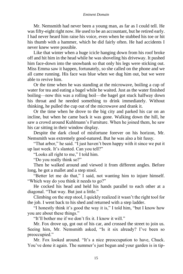#### *Eminent Domain*

Mr. Nemsmith had never been a young man, as far as I could tell. He was fifty-eight right now. He used to be an accountant, but he retired early. I had never heard him raise his voice, even when he stubbed his toe or hit his thumb with a hammer, which he did fairly often. He had accidents I never knew were possible.

Like that winter when a huge icicle hanging down from his roof broke off and hit him in the head while he was shoveling his driveway. It pushed him face-down into the snowbank so that only his legs were sticking out. Miss Emma saw it happen, fortunately, so she called on the phone and we all came running. His face was blue when we dug him out, but we were able to revive him.

Or the time when he was standing at the microwave, boiling a cup of water for tea and eating a bagel while he waited. Just as the water finished boiling—now this was a rolling boil—the bagel got stuck halfway down his throat and he needed something to drink immediately. Without thinking, he pulled the cup out of the microwave and drank it.

Or the time when he drove to the big city and parked his car on an incline, but when he came back it was gone. Walking down the hill, he saw a crowd around Kuhlmann's Furniture. When he joined them, he saw his car sitting in their window display.

Despite the dark cloud of misfortune forever on his horizon, Mr. Nemsmith was extremely good-natured. But he was also a bit fussy.

"That arbor," he said. "I just haven't been happy with it since we put it up last week. It's slanted. Can you tell?"

"Looks all right to me," I told him.

"Do you really think so?"

Then he walked around and viewed it from different angles. Before long, he got a mallet and a step stool.

"Better let me do that," I said, not wanting him to injure himself. "Which way do you think it needs to go?"

He cocked his head and held his hands parallel to each other at a diagonal. "That way. But just a little."

Climbing on the step stool, I quickly realized it wasn't the right tool for the job. I went back to his shed and returned with a step ladder.

"I honestly think it's good the way it is," I told him, "but I know how you are about these things."

"It'll bother me if we don't fix it. I know it will."

Mr. Fox drove up, got out of his car, and crossed the street to join us. Seeing him, Mr. Nemsmith asked, "Is it six already? I've been so preoccupied."

Mr. Fox looked around. "It's a nice preoccupation to have, Chuck. You've done it again. The summer's just begun and your garden is in tip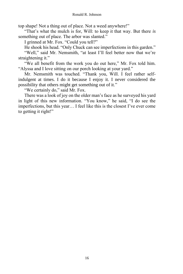top shape! Not a thing out of place. Not a weed anywhere!"

"That's what the mulch is for, Will: to keep it that way. But there *is* something out of place. The arbor was slanted."

I grinned at Mr. Fox. "Could you tell?"

He shook his head. "Only Chuck can see imperfections in this garden."

"Well," said Mr. Nemsmith, "at least I'll feel better now that we're straightening it."

"We all benefit from the work you do out here," Mr. Fox told him. "Alyssa and I love sitting on our porch looking at your yard."

Mr. Nemsmith was touched. "Thank you, Will. I feel rather selfindulgent at times. I do it because I enjoy it. I never considered the possibility that others might get something out of it."

"We certainly do," said Mr. Fox.

There was a look of joy on the older man's face as he surveyed his yard in light of this new information. "You know," he said, "I do see the imperfections, but this year… I feel like this is the closest I've ever come to getting it right!"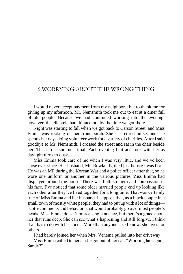### 6 WORRYING ABOUT THE WRONG THING

I would never accept payment from my neighbors; but to thank me for giving up my afternoon, Mr. Nemsmith took me out to eat at a diner full of old people. Because we had continued working into the evening, however, the clientele had thinned out by the time we got there.

Night was starting to fall when we got back to Carson Street, and Miss Emma was rocking on her front porch. She's a retired nurse, and she spends her days doing volunteer work for a variety of charities. After I said goodbye to Mr. Nemsmith, I crossed the street and sat in the chair beside her. This is our summer ritual. Each evening I sit and rock with her as daylight turns to dusk.

Miss Emma took care of me when I was very little, and we've been close ever since. Her husband, Mr. Rowlands, died just before I was born. He was an MP during the Korean War and a police officer after that, so he wore one uniform or another in the various pictures Miss Emma had displayed around the house. There was both strength and compassion in his face. I've noticed that some older married people end up looking like each other after they've lived together for a long time. That was certainly true of Miss Emma and her husband. I suppose that, as a black couple in a small town of mostly white people, they had to put up with a lot of things subtle comments and behaviors that would probably go over most people's heads. Miss Emma doesn't miss a single nuance, but there's a grace about her that runs deep. She can see what's happening and still forgive. I think it all has to do with her focus. More than anyone else I know, she lives for others.

I had barely joined her when Mrs. Venema pulled into her driveway.

Miss Emma called to her as she got out of her car. "Working late again, Sandy?"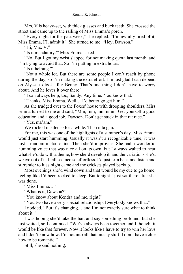Mrs. V is heavy-set, with thick glasses and buck teeth. She crossed the street and came up to the railing of Miss Emma's porch.

"Every night for the past week," she replied. "I'm awfully tired of it, Miss Emma, I'll admit it." She turned to me. "Hey, Dawson."

"Hi, Mrs. V."

"Is it mandatory?" Miss Emma asked.

"No. But I got my wrist slapped for not making quota last month, and I'm trying to avoid that. So I'm putting in extra hours."

"Is it helping?"

"Not a whole lot. But there are some people I can't reach by phone during the day, so I'm making the extra effort. I'm just glad I can depend on Alyssa to look after Benny. That's one thing I don't have to worry about. And he loves it over there."

"I can always help, too, Sandy. Any time. You know that."

"Thanks, Miss Emma. Well… I'd better go get him."

As she trudged over to the Foxes' house with drooping shoulders, Miss Emma turned to me and said, "Mm, mm, mmmmm. Get yourself a good education and a good job, Dawson. Don't get stuck in that rat race."

"Yes, ma'am."

We rocked in silence for a while. Then it began.

For me, this was one of the highlights of a summer's day. Miss Emma would just start humming. Usually it wasn't a recognizable tune; it was just a random melodic line. Then she'd improvise. She had a wonderful humming voice that was nice all on its own, but I always waited to hear what she'd do with a theme, how she'd develop it, and the variations she'd weave out of it. It all seemed so effortless. I'd just lean back and listen and surrender to it as night came and the crickets played backup.

Most evenings she'd wind down and that would be my cue to go home, feeling like I'd been rocked to sleep. But tonight I just sat there after she was done.

"Miss Emma…"

"What is it, Dawson?"

"You know about Kendra and me, right?"

"You two have a very special relationship. Everybody knows that."

I nodded. "But it's changing… and I'm not exactly sure what to think about it."

I was hoping she'd take the bait and say something profound, but she just waited, so I continued. "We've always been together and I thought it would be like that forever. Now it looks like I have to try to win her love and I don't know how. I'm not into all that mushy stuff. I don't have a clue how to be romantic."

Still, she said nothing.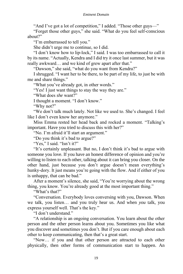"And I've got a lot of competition," I added. "Those other guys—"

"Forget those other guys," she said. "What do you feel self-conscious about?"

"I'm embarrassed to tell you."

She didn't urge me to continue, so I did.

"I don't know how to lip-lock," I said. I was too embarrassed to call it by its name. "Actually, Kendra and I did try it once last summer, but it was really awkward… and we kind of grew apart after that."

"Dawson," she said, "what do you want from Kendra?"

I shrugged. "I want her to be there, to be part of my life, to just be with me and share things."

"What you've already got, in other words."

"Yes! I just want things to stay the way they are."

"What does *she* want?"

I thought a moment. "I don't know."

"Why not?"

"We don't talk much lately. Not like we used to. She's changed. I feel like I don't even know her anymore."

Miss Emma rested her head back and rocked a moment. "Talking's important. Have you tried to discuss this with her?"

"No. I'm afraid it'll start an argument."

"Do you think it's bad to argue?"

"Yes," I said. "Isn't it?"

"It's certainly unpleasant. But no, I don't think it's bad to argue with someone you love. If you have an honest difference of opinion and you're willing to listen to each other, talking about it can bring you closer. On the other hand, just because you don't argue doesn't mean everything's hunky-dory. It just means you're going with the flow. And if either of you is unhappy, that can be bad."

After a moment's silence, she said, "You're worrying about the wrong thing, you know. You're already good at the most important thing."

"What's that?"

"Conversation. Everybody loves conversing with you, Dawson. When we talk, you listen… and you truly hear us. And when *you* talk, you express yourself well. That's the key."

"I don't understand."

"A relationship is an ongoing conversation. You learn about the other person and the other person learns about you. Sometimes you like what you discover and sometimes you don't. But if you care enough about each other to keep communicating, then that's a great start.

"Now… if you and that other person are attracted to each other physically, then other forms of communication start to happen. An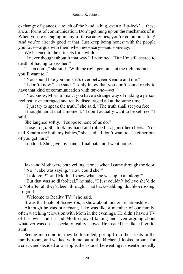exchange of glances, a touch of the hand, a hug, even a 'lip-lock'… these are all forms of communication. Don't get hung up on the mechanics of it. When you're engaging in any of those activities, you're communicating! And you're already good at that. Just keep being honest with the people you love—argue with them when necessary—and someday..."

We listened to the crickets for a while.

"I never thought about it that way," I admitted. "But I'm still scared to death of having to kiss her."

"Then don't," she said. "With the right person... at the right moment... you'll want to."

"You sound like you think it's over between Kendra and me."

"I don't know," she said. "I only know that you don't sound ready to have that kind of communication with *anyone*—yet."

"You know, Miss Emma… you have a strange way of making a person feel really encouraged and really discouraged all at the same time."

"I just try to speak the truth," she said. "The truth shall set you free."

I thought about that a moment. "I don't actually want to be set free," I said.

She laughed softly. "I suppose none of us do."

I rose to go. She took my hand and rubbed it against her cheek. "You and Kendra are both my babies," she said. "I don't want to see either one of you get hurt."

I nodded. She gave my hand a final pat, and I went home.

Jake and Moth were both yelling at once when I came through the door. "No!" Jake was saying. "How could she!"

"I told you!" said Moth. "I knew what she was up to all along!"

"But that was so diabolical," he said, "I just couldn't believe she'd do it. Not after all they'd been through. That back-stabbing, double-crossing, no-good—"

"Welcome to Reality TV!" she said.

It was the finale of *Screw You*, a show about modern relationships.

Although he was our tenant, Jake was like a member of our family, often watching television with Moth in the evenings. He didn't have a TV of his own, and he and Moth enjoyed talking and even arguing about whatever was on—especially reality shows. He treated her like a favorite aunt.

Seeing me come in, they both smiled, got up from their seats in the family room, and walked with me out to the kitchen. I looked around for a snack and decided on an apple, then stood there eating it absent-mindedly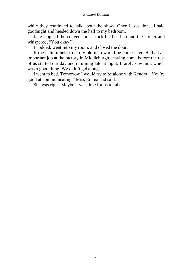#### *Eminent Domain*

while they continued to talk about the show. Once I was done, I said goodnight and headed down the hall to my bedroom.

Jake stopped the conversation, stuck his head around the corner and whispered, "You okay?"

I nodded, went into my room, and closed the door.

If the pattern held true, my old man would be home later. He had an important job at the factory in Middleburgh, leaving home before the rest of us started our day and returning late at night. I rarely saw him, which was a good thing. We didn't get along.

I went to bed. Tomorrow I would try to be alone with Kendra. "You're good at communicating," Miss Emma had said.

She was right. Maybe it was time for us to talk.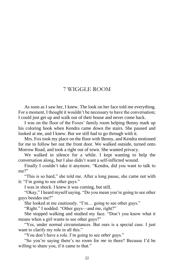#### 7 WIGGLE ROOM

As soon as I saw her, I knew. The look on her face told me everything. For a moment, I thought it wouldn't be necessary to have the conversation; I could just get up and walk out of their house and never come back.

I was on the floor of the Foxes' family room helping Benny mark up his coloring book when Kendra came down the stairs. She paused and looked at me, and I knew. But we still had to go through with it.

Mrs. Fox took my place on the floor with Benny, and Kendra motioned for me to follow her out the front door. We walked outside, turned onto Morrow Road, and took a right out of town. She wanted privacy.

We walked in silence for a while. I kept wanting to help the conversation along, but I also didn't want a self-inflicted wound.

Finally I couldn't take it anymore. "Kendra, did you want to talk to me?"

"This is so hard," she told me. After a long pause, she came out with it: "I'm going to see other guys."

I was in shock. I knew it was coming, but still.

"Okay," I heard myself saying. "Do you mean you're going to see other guys besides me?"

She looked at me cautiously. "I'm… going to see other guys."

"Right." I nodded. "Other guys—and me, right?"

She stopped walking and studied my face. "Don't you know what it means when a girl wants to see other guys?"

"Yes, under normal circumstances. But ours is a special case. I just want to clarify my role in all this."

"You don't have a role. I'm going to see *other* guys."

"So you're saying there's no room for *me* in there? Because I'd be willing to share you, if it came to that."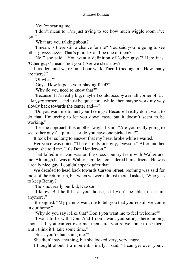"You're scaring me."

"I don't mean to. I'm just trying to see how much wiggle room I've got."

"What are you talking about?"

"I mean, is there still a chance for me? You said you're going to see other guy*sssssssss*. That's plural. Can I be one of them?"

"No!" she said. "You want a definition of 'other guys'? Here it is. 'Other guys' means 'not you'! Are we clear now?"

I nodded, and we resumed our walk. Then I tried again. "How many are there?"

"Of what?"

"Guys. How large is your playing field?"

"Why do you need to know that?"

"Because if it's really big, maybe I could occupy a small corner of it… a far, *far* corner… and just be quiet for a while, then maybe work my way slowly back towards the center and—"

"Do you want me to hurt your feelings? Because I really don't want to do that. I'm trying to let you down easy, but it doesn't seem to be working."

"Let me approach this another way," I said. "Are you really going to see 'other guys'—plural—or do you have one picked out?"

It took her so long to answer that my heart broke while I waited.

Her voice was quiet. "There's only one guy, Dawson." After another pause, she told me. "It's Don Henderson."

That killed me. Don was on the cross country team with Walter and me. Although he was in Walter's grade, I considered him a friend. He was a really nice guy. I couldn't speak after that.

We decided to head back towards Carson Street. Nothing was said for most of the return trip, but when we were almost there, I asked, "Who gets to keep Benny?"

"He's not really our kid, Dawson."

"I know. But he'll be at your house, so I won't be able to see him anymore."

She sighed. "My parents want me to tell you that you're still welcome in our home."

"Why do you say it like that? Don't *you* want me to feel welcome?"

"I want to be with Don. And I don't want you sitting there moping about it. If you can get over me, then sure, you're welcome to be there. But I think it'll take some time."

"So… you're banishing me?"

She didn't say anything, but she looked very, very angry.

I thought about it a moment. Finally I said, "I can get over you…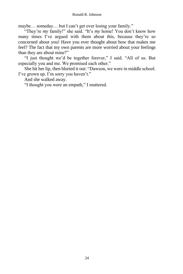maybe… someday… but I can't get over losing your family."

"They're *my* family!" she said. "It's *my* home! You don't know how many times I've argued with them about this, because they're so concerned about you! Have you ever thought about how that makes me feel? The fact that my own parents are more worried about your feelings than they are about mine?"

"I just thought we'd be together forever," I said. "All of us. But especially you and me. We promised each other."

She bit her lip, then blurted it out: "Dawson, we were in middle school. I've grown up. I'm sorry you haven't."

And she walked away.

"I thought you were an empath," I muttered.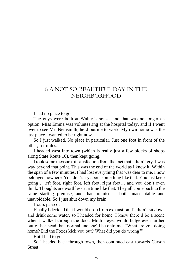## 8 A NOT-SO-BEAUTIFUL DAY IN THE NEIGHBORHOOD

I had no place to go.

The guys were both at Walter's house, and that was no longer an option. Miss Emma was volunteering at the hospital today, and if I went over to see Mr. Nemsmith, he'd put me to work. My own home was the last place I wanted to be right now.

So I just walked. No place in particular. Just one foot in front of the other, for miles.

I headed west into town (which is really just a few blocks of shops along State Route 10), then kept going.

I took some measure of satisfaction from the fact that I didn't cry. I was way beyond that point. This was the end of the world as I knew it. Within the span of a few minutes, I had lost everything that was dear to me. I now belonged nowhere. You don't cry about something like that. You just keep going… left foot, right foot, left foot, right foot… and you don't even think. Thoughts are worthless at a time like that. They all come back to the same starting premise, and that premise is both unacceptable and unavoidable. So I just shut down my brain.

Hours passed.

Finally I decided that I would drop from exhaustion if I didn't sit down and drink some water, so I headed for home. I knew there'd be a scene when I walked through the door. Moth's eyes would bulge even farther out of her head than normal and she'd be onto me. "What are you doing home? Did the Foxes kick you out? What did you do wrong?"

But I had to go.

So I headed back through town, then continued east towards Carson **Street**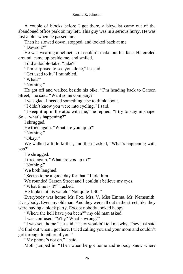A couple of blocks before I got there, a bicyclist came out of the abandoned office park on my left. This guy was in a serious hurry. He was just a blur when he passed me.

Then he slowed down, stopped, and looked back at me.

"Dawson?"

He was wearing a helmet, so I couldn't make out his face. He circled around, came up beside me, and smiled.

I did a double-take. "Jake?"

"I'm surprised to see you alone," he said.

"Get used to it," I mumbled.

"What?"

"Nothing."

He got off and walked beside his bike. "I'm heading back to Carson Street," he said. "Want some company?"

I was glad. I needed something else to think about.

"I didn't know you were into cycling," I said.

"I keep it up in the attic with me," he replied. "I try to stay in shape. So… what's happening?"

I shrugged.

He tried again. "What are you up to?"

"Nothing."

"Okay."

We walked a little farther, and then I asked, "What's happening with *you*?'

He shrugged.

I tried again. "What are *you* up to?"

"Nothing."

We both laughed.

"Seems to be a good day for that," I told him.

We rounded Carson Street and I couldn't believe my eyes.

"What time is it?" I asked.

He looked at his watch. "Not quite 1:30."

Everybody was home: Mr. Fox, Mrs. V, Miss Emma, Mr. Nemsmith. Everybody. Even my old man. And they were all out in the street, like they were having a block party. Except nobody looked happy.

"Where the hell have you been?" my old man asked.

I was confused. "Why? What's wrong?"

"I was sent home," he said. "They wouldn't tell me why. They just said I'd find out when I got here. I tried calling you and your mom and couldn't get through to either of you."

"My phone's not on," I said.

Moth jumped in. "Then when he got home and nobody knew where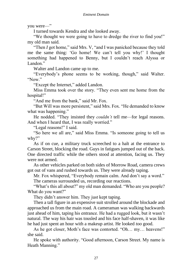you were—"

I turned towards Kendra and she looked away.

"We thought we were going to have to dredge the river to find you!" my old man said.

"Then *I* got home," said Mrs. V, "and I was panicked because they told me the same thing: 'Go home! We can't tell you why!' I thought something had happened to Benny, but I couldn't reach Alyssa or Landon."

Walter and Landon came up to me.

"Everybody's phone seems to be working, though," said Walter. "Now."

"Except the Internet," added Landon.

Miss Emma took over the story. "They even sent me home from the hospital!"

"And me from the bank," said Mr. Fox.

"But Will was more persistent," said Mrs. Fox. "He demanded to know what was happening."

He nodded. "They insisted they *couldn't* tell me—for legal reasons. And when I heard that, I was really worried."

"Legal reasons!" I said.

"So here we all are," said Miss Emma. "Is someone going to tell us why?"

As if on cue, a military truck screeched to a halt at the entrance to Carson Street, blocking the road. Guys in fatigues jumped out of the back. One directed traffic while the others stood at attention, facing us. They were not armed.

As other vehicles parked on both sides of Morrow Road, camera crews got out of vans and rushed towards us. They were already taping.

Mr. Fox whispered, "Everybody remain calm. And don't say a word." The cameras surrounded us, recording our reactions.

"What's this all about?" my old man demanded. "Who are you people? What do you want?"

They didn't answer him. They just kept taping.

Then a tall figure in an expensive suit strolled around the blockade and approached us from the main road. A cameraman was walking backwards just ahead of him, taping his entrance. He had a rugged look, but it wasn't natural. The way his hair was tousled and his face half-shaven, it was like he had just spent an hour with a makeup artist. He looked *too* good.

As he got closer, Moth's face was contorted. "Oh… my… heavens!" she said.

He spoke with authority. "Good afternoon, Carson Street. My name is Heath Manning."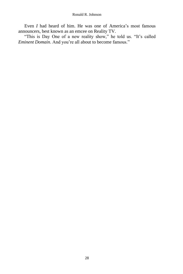Even *I* had heard of him. He was one of America's most famous announcers, best known as an emcee on Reality TV.

"This is Day One of a new reality show," he told us. "It's called *Eminent Domain*. And you're all about to become famous."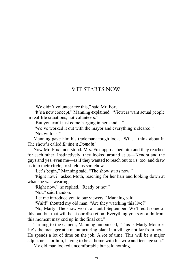#### 9 IT STARTS NOW

"We didn't volunteer for this," said Mr. Fox.

"It's a new concept," Manning explained. "Viewers want actual people in real-life situations, not volunteers."

"But you can't just come barging in here and—"

"We've worked it out with the mayor and everything's cleared."

"Not with us!"

Manning gave him his trademark tough look. "Will… think about it. The show's called *Eminent Domain*."

Now Mr. Fox understood. Mrs. Fox approached him and they reached for each other. Instinctively, they looked around at us—Kendra and the guys and yes, even me—as if they wanted to reach out to *us*, too, and draw us into their circle, to shield us somehow.

"Let's begin," Manning said. "The show starts now."

"Right now?" asked Moth, reaching for her hair and looking down at what she was wearing.

"Right now," he replied. "Ready or not."

"Not," said Landon.

"Let me introduce you to our viewers," Manning said.

"Wait!" shouted my old man. "Are they watching this live?"

"No, Marty. The show won't air until September. We'll edit some of this out, but that will be at our discretion. Everything you say or do from this moment may end up in the final cut."

Turning to the camera, Manning announced, "This is Marty Monroe. He's the manager at a manufacturing plant in a village not far from here. He spends a lot of time on the job. A *lot* of time. This will be a major adjustment for him, having to be at home with his wife and teenage son."

My old man looked uncomfortable but said nothing.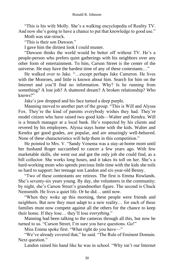"This is his wife Molly. She's a walking encyclopedia of Reality TV. And now she's going to have a chance to put that knowledge to good use."

Moth was star-struck.

"This is their son Dawson."

I gave him the dirtiest look I could muster.

"Dawson thinks the world would be better off without TV. He's a people-person who prefers quiet gatherings with his neighbors over any other form of entertainment. To him, Carson Street is the center of the universe. He may have the hardest time of any of these contestants…"

He walked over to Jake. "…except perhaps Jake Cameron. He lives with the Monroes, and little is known about him. Search for him on the Internet and you'll find no information. Why? Is he running from something? A lost job? A shattered dream? A broken relationship? Who knows?"

Jake's jaw dropped and his face turned a deep purple.

Manning moved to another part of the group. "This is Will and Alyssa Fox. They're the kind of parents everybody wishes they had. They're model citizen who have raised two good kids—Walter and Kendra. Will is a branch manager at a local bank. He's respected by his clients and revered by his employees. Alyssa stays home with the kids. Walter and Kendra get good grades, are popular, and are amazingly well-behaved. None of these characteristics will help them in this competition."

He pointed to Mrs. V. "Sandy Venema was a stay-at-home mom until her husband Roger succumbed to cancer a few years ago. With few marketable skills, she went out and got the only job she could find, as a bill collector. She works long hours, and it takes its toll on her. She's a hard-working mom who spends precious little time with the kids she toils so hard to support: her teenage son Landon and six-year-old Benny.

"Two of these contestants are retirees. The first is Emma Rowlands. She's seventy-six years young. By day, she volunteers in the community; by night, she's Carson Street's grandmother figure. The second is Chuck Nemsmith. He lives a quiet life. Or he did… until now.

"When they woke up this morning, these people were friends and neighbors. But now they must adapt to a new reality… for each of these families must now compete against all the others for the chance to keep their home. If they lose… they'll lose *everything.*"

Manning had been talking to the cameras through all this, but now he turned to us. "Carson Street, I'm sure you have questions. Go!"

Miss Emma spoke first. "What right do you have—"

"We've already covered that," he said. "The Rule of Eminent Domain. Next question."

Landon raised his hand like he was in school. "Why isn't our Internet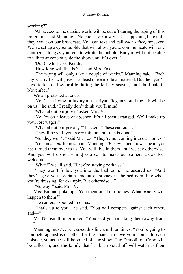working?"

"All access to the outside world will be cut off during the taping of this program," said Manning. "No one is to know what's happening here until they see it on our broadcast. You can text and call *each other*, however. We've set up a cyber bubble that will allow you to communicate with one another as long as you remain within the bubble. But you will not be able to talk to anyone outside the show until it's over."

"Don!" whispered Kendra.

"How long will that be?" asked Mrs. Fox.

"The taping will only take a couple of weeks," Manning said. "Each day's activities will give us at least one episode of material. But then you'll have to keep a low profile during the fall TV season, until the finale in November."

We all protested at once.

"You'll be living in luxury at the Hyatt-Regency, and the tab will be on us," he said. "I really don't think you'll mind."

"What about our jobs?" asked Mrs. V.

"You're on a leave of absence. It's all been arranged. We'll make up your lost wages."

"What about our privacy?" I asked. "These cameras…"

"They'll be with you every minute until this is done."

"No, they won't," said Mr. Fox. "They're not coming into our homes."

"You mean *our* homes," said Manning. "*We* own them now. The mayor has turned them over to us. You will live in them until we say otherwise. And you will do everything you can to make our camera crews feel welcome."

"What?" we all said. "They're staying with us?"

"They won't follow you into the bathroom," he assured us. "And they'll give you a certain amount of privacy in the bedroom, like when you're dressing, for example. But otherwise…"

"No way!" said Mrs. V.

Miss Emma spoke up. "You mentioned our homes. What exactly will happen to them?"

The cameras zoomed in on us.

"That's up to you," he said. "You will compete against each other, and—"

Mr. Nemsmith interrupted. "You said you're taking them away from us."

Manning must've rehearsed this line a million times. "You're going to compete against each other for the chance to *save* your home. In each episode, someone will be voted off the show. The Demolition Crew will be called in, and the family that has been voted off will watch as their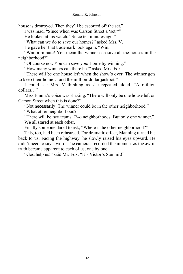house is destroyed. Then they'll be escorted off the set."

I was mad. "Since when was Carson Street a 'set'?"

He looked at his watch. "Since ten minutes ago."

"What can we do to save our homes?" asked Mrs. V.

He gave her that trademark look again. "Win."

"Wait a minute! You mean the winner can save all the houses in the neighborhood?"

"Of course not. You can save *your* home by winning."

"How many winners can there be?" asked Mrs. Fox.

"There will be one house left when the show's over. The winner gets to keep their home… and the million-dollar jackpot."

I could see Mrs. V thinking as she repeated aloud, "A million dollars…"

Miss Emma's voice was shaking. "There will only be one house left on Carson Street when this is done?"

"Not necessarily. The winner could be in the other neighborhood." "What other neighborhood?"

"There will be *two* teams. *Two* neighborhoods. But only one winner." We all stared at each other.

Finally someone dared to ask, "Where's the other neighborhood?"

This, too, had been rehearsed. For dramatic effect, Manning turned his back to us. Facing the highway, he slowly raised his eyes upward. He didn't need to say a word. The cameras recorded the moment as the awful truth became apparent to each of us, one by one.

"God help us!" said Mr. Fox. "It's Victor's Summit!"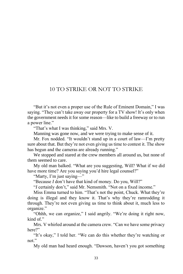#### 10 TO STRIKE OR NOT TO STRIKE

"But it's not even a proper use of the Rule of Eminent Domain," I was saying. "They can't take away our property for a TV show! It's only when the government needs it for some reason—like to build a freeway or to run a power line."

"That's what I was thinking," said Mrs. V.

Manning was gone now, and we were trying to make sense of it.

Mr. Fox nodded. "It wouldn't stand up in a court of law—I'm pretty sure about that. But they're not even giving us time to contest it. The show has begun and the cameras are already running."

We stopped and stared at the crew members all around us, but none of them seemed to care.

My old man balked. "What are you suggesting, Will? What if we did have more time? Are you saying you'd hire legal counsel?"

"Marty, I'm just saying—"

"Because *I* don't have that kind of money. Do you, Will?"

"*I* certainly don't," said Mr. Nemsmith. "Not on a fixed income."

Miss Emma turned to him. "That's not the point, Chuck. What they're doing is illegal and they know it. That's why they're ramrodding it through. They're not even giving us time to think about it, much less to organize."

"Ohhh, we can organize," I said angrily. "We're doing it right now, kind of."

Mrs. V whirled around at the camera crew. "Can we have some privacy here?"

"It's okay," I told her. "We can do this whether they're watching or not."

My old man had heard enough. "Dawson, haven't you got something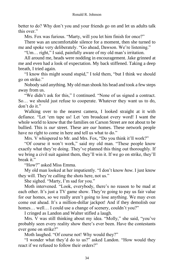better to do? Why don't you and your friends go on and let us adults talk this over."

Mrs. Fox was furious. "Marty, will you let him finish for once?"

There was an uncomfortable silence for a moment, then she turned to me and spoke very deliberately. "Go ahead, Dawson. We're listening."

"Um… right," I said, painfully aware of my old man's irritation.

All around me, heads were nodding in encouragement. Jake grinned at me and even had a look of expectation. My back stiffened. Taking a deep breath, I tried again.

"I know this might sound stupid," I told them, "but I think we should go on strike."

Nobody said anything. My old man shook his head and took a few steps away from us.

"We didn't ask for this," I continued. "None of us signed a contract. So… we should just refuse to cooperate. Whatever they want us to do, don't do it."

Walking over to the nearest camera, I looked straight at it with defiance. "Let 'em tape us! Let 'em broadcast every word! I want the whole world to know that the families on Carson Street are not about to be bullied. This is *our* street. These are *our* homes. These network people have no right to come in here and tell us what to do."

Mrs. V whispered to Mr. and Mrs. Fox, "Do you think it'll work?"

"Of course it won't work," said my old man. "These people know exactly what they're doing. They've planned this thing out thoroughly. If we bring a civil suit against them, they'll win it. If we go on strike, they'll break it."

"How?" asked Miss Emma.

My old man looked at her impatiently. "I don't know *how*. I just know they will. They're calling the shots here, not us."

She sighed. "Marty, I'm sad for you."

Moth intervened. "Look, everybody, there's no reason to be mad at each other. It's just a TV game show. They're going to pay us fair value for our homes, so we really aren't going to lose anything. We may even come out ahead. It's a million-dollar jackpot! And if they demolish our homes... well... I could use a change of scenery, couldn't you?"

I cringed as Landon and Walter stifled a laugh.

Mrs. V was still thinking about my idea. "Molly," she said, "you've probably seen every reality show there's ever been. Have the contestants ever gone on strike?"

Moth laughed. "Of course not! Why would they?"

"I wonder what they'd do to us?" asked Landon. "How would they react if we refused to follow their orders?"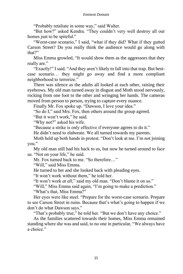"Probably retaliate in some way," said Walter.

"But how?" asked Kendra. "They couldn't very well destroy all our homes just to be spiteful."

"Worst-case scenario," I said, "what if they did? What if they gutted Carson Street? Do you really think the audience would go along with that?"

Miss Emma growled, "It would show them as the aggressors that they really are."

"Exactly!" I said. "And they aren't likely to fall into that trap. But bestcase scenario… they might go away and find a more compliant neighborhood to terrorize."

There was silence as the adults all looked at each other, raising their eyebrows. My old man turned away in disgust and Moth stood nervously, rocking from one foot to the other and wringing her hands. The cameras moved from person to person, trying to capture every nuance.

Finally Mr. Fox spoke up. "Dawson, I love your idea."

"So do I," said Mrs. Fox, then others around the group agreed.

"But it won't work," he said.

"Why not?" asked his wife.

"Because a strike is only effective if everyone agrees to do it."

He didn't need to elaborate. We all turned towards my parents.

Moth held up both hands in protest. "Don't look at me. I'm not joining you."

My old man still had his back to us, but now he turned around to face us. "Not on your life," he said.

Mr. Fox turned back to me. "So therefore…"

"Will," said Miss Emma.

He turned to her and she looked back with pleading eyes.

"It won't work without them," he told her.

"It won't work *at all*," said my old man. "Don't blame it on us."

"Will," Miss Emma said again, "I'm going to make a prediction."

"What's that, Miss Emma?"

Her eyes were like steel. "Prepare for the worst-case scenario. Prepare to see Carson Street in ruins. Because that's what's going to happen if we don't do what Dawson says."

"That's probably true," he told her. "But we don't have any choice."

As the families scattered towards their homes, Miss Emma remained standing where she was and said, to no one in particular, "We always have a choice."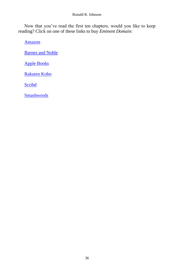#### Ronald R. Johnson

Now that you've read the first ten chapters, would you like to keep reading? Click on one of these links to buy *Eminent Domain*:

[Amazon](https://www.amazon.com/dp/B08YS5Z34H)

[Barnes and Noble](https://www.barnesandnoble.com/w/eminent-domain-ronald-r-johnson/1139013124;jsessionid=CB417D554C043A932FD772E489C8DBD6.prodny_store02-atgap03?ean=2940164844448)

[Apple Books](https://books.apple.com/us/book/eminent-domain/id1558473938)

[Rakuten Kobo](https://www.kobo.com/us/en/ebook/eminent-domain-11)

**[Scribd](https://www.scribd.com/book/498846535/Eminent-Domain)** 

**[Smashwords](https://www.smashwords.com/books/view/1053148)**